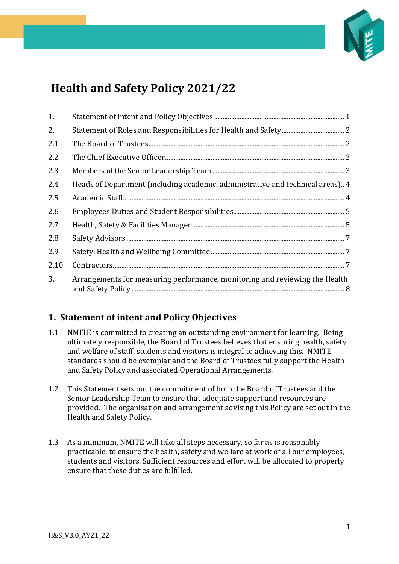

# **Health and Safety Policy 2021/22**

| 1.   |                                                                                |
|------|--------------------------------------------------------------------------------|
| 2.   |                                                                                |
| 2.1  |                                                                                |
| 2.2  |                                                                                |
| 2.3  |                                                                                |
| 2.4  | Heads of Department (including academic, administrative and technical areas) 4 |
| 2.5  |                                                                                |
| 2.6  |                                                                                |
| 2.7  |                                                                                |
| 2.8  |                                                                                |
| 2.9  |                                                                                |
| 2.10 |                                                                                |
| 3.   | Arrangements for measuring performance, monitoring and reviewing the Health    |

# <span id="page-0-0"></span>**1. Statement of intent and Policy Objectives**

- 1.1 NMITE is committed to creating an outstanding environment for learning. Being ultimately responsible, the Board of Trustees believes that ensuring health, safety and welfare of staff, students and visitors is integral to achieving this. NMITE standards should be exemplar and the Board of Trustees fully support the Health and Safety Policy and associated Operational Arrangements.
- 1.2 This Statement sets out the commitment of both the Board of Trustees and the Senior Leadership Team to ensure that adequate support and resources are provided. The organisation and arrangement advising this Policy are set out in the Health and Safety Policy.
- 1.3 As a minimum, NMITE will take all steps necessary, so far as is reasonably practicable, to ensure the health, safety and welfare at work of all our employees, students and visitors. Sufficient resources and effort will be allocated to properly ensure that these duties are fulfilled.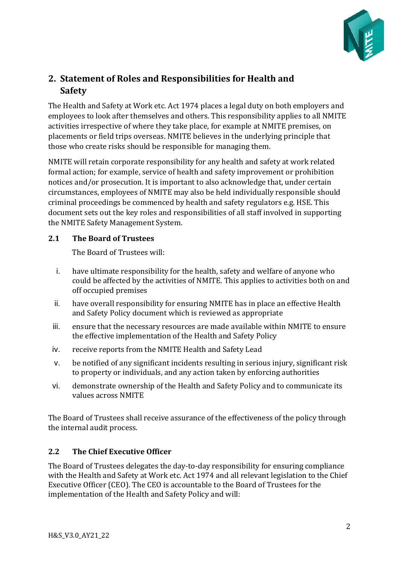

# <span id="page-1-0"></span>**2. Statement of Roles and Responsibilities for Health and Safety**

The Health and Safety at Work etc. Act 1974 places a legal duty on both employers and employees to look after themselves and others. This responsibility applies to all NMITE activities irrespective of where they take place, for example at NMITE premises, on placements or field trips overseas. NMITE believes in the underlying principle that those who create risks should be responsible for managing them.

NMITE will retain corporate responsibility for any health and safety at work related formal action; for example, service of health and safety improvement or prohibition notices and/or prosecution. It is important to also acknowledge that, under certain circumstances, employees of NMITE may also be held individually responsible should criminal proceedings be commenced by health and safety regulators e.g. HSE. This document sets out the key roles and responsibilities of all staff involved in supporting the NMITE Safety Management System.

### <span id="page-1-1"></span>**2.1 The Board of Trustees**

The Board of Trustees will:

- i. have ultimate responsibility for the health, safety and welfare of anyone who could be affected by the activities of NMITE. This applies to activities both on and off occupied premises
- ii. have overall responsibility for ensuring NMITE has in place an effective Health and Safety Policy document which is reviewed as appropriate
- iii. ensure that the necessary resources are made available within NMITE to ensure the effective implementation of the Health and Safety Policy
- iv. receive reports from the NMITE Health and Safety Lead
- v. be notified of any significant incidents resulting in serious injury, significant risk to property or individuals, and any action taken by enforcing authorities
- vi. demonstrate ownership of the Health and Safety Policy and to communicate its values across NMITE

The Board of Trustees shall receive assurance of the effectiveness of the policy through the internal audit process.

## <span id="page-1-2"></span>**2.2 The Chief Executive Officer**

The Board of Trustees delegates the day-to-day responsibility for ensuring compliance with the Health and Safety at Work etc. Act 1974 and all relevant legislation to the Chief Executive Officer (CEO). The CEO is accountable to the Board of Trustees for the implementation of the Health and Safety Policy and will: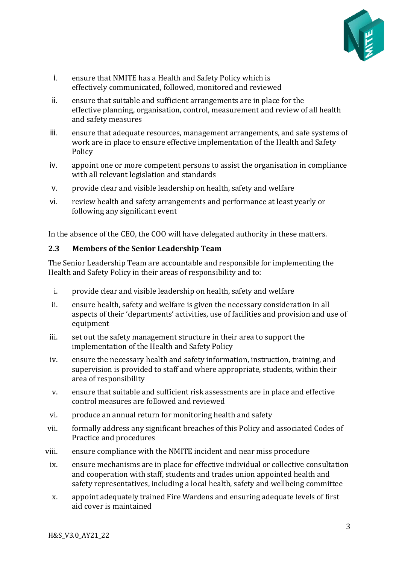

- i. ensure that NMITE has a Health and Safety Policy which is effectively communicated, followed, monitored and reviewed
- ii. ensure that suitable and sufficient arrangements are in place for the effective planning, organisation, control, measurement and review of all health and safety measures
- iii. ensure that adequate resources, management arrangements, and safe systems of work are in place to ensure effective implementation of the Health and Safety Policy
- iv. appoint one or more competent persons to assist the organisation in compliance with all relevant legislation and standards
- v. provide clear and visible leadership on health, safety and welfare
- vi. review health and safety arrangements and performance at least yearly or following any significant event

In the absence of the CEO, the COO will have delegated authority in these matters.

#### <span id="page-2-0"></span>**2.3 Members of the Senior Leadership Team**

The Senior Leadership Team are accountable and responsible for implementing the Health and Safety Policy in their areas of responsibility and to:

- i. provide clear and visible leadership on health, safety and welfare
- ii. ensure health, safety and welfare is given the necessary consideration in all aspects of their 'departments' activities, use of facilities and provision and use of equipment
- iii. set out the safety management structure in their area to support the implementation of the Health and Safety Policy
- iv. ensure the necessary health and safety information, instruction, training, and supervision is provided to staff and where appropriate, students, within their area of responsibility
- v. ensure that suitable and sufficient risk assessments are in place and effective control measures are followed and reviewed
- vi. produce an annual return for monitoring health and safety
- vii. formally address any significant breaches of this Policy and associated Codes of Practice and procedures
- viii. ensure compliance with the NMITE incident and near miss procedure
- ix. ensure mechanisms are in place for effective individual or collective consultation and cooperation with staff, students and trades union appointed health and safety representatives, including a local health, safety and wellbeing committee
- x. appoint adequately trained Fire Wardens and ensuring adequate levels of first aid cover is maintained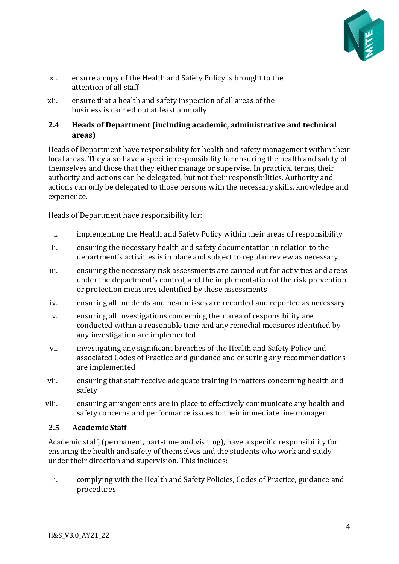

- xi. ensure a copy of the Health and Safety Policy is brought to the attention of all staff
- xii. ensure that a health and safety inspection of all areas of the business is carried out at least annually

## <span id="page-3-0"></span>**2.4 Heads of Department (including academic, administrative and technical areas)**

Heads of Department have responsibility for health and safety management within their local areas. They also have a specific responsibility for ensuring the health and safety of themselves and those that they either manage or supervise. In practical terms, their authority and actions can be delegated, but not their responsibilities. Authority and actions can only be delegated to those persons with the necessary skills, knowledge and experience.

Heads of Department have responsibility for:

- i. implementing the Health and Safety Policy within their areas of responsibility
- ii. ensuring the necessary health and safety documentation in relation to the department's activities is in place and subject to regular review as necessary
- iii. ensuring the necessary risk assessments are carried out for activities and areas under the department's control, and the implementation of the risk prevention or protection measures identified by these assessments
- iv. ensuring all incidents and near misses are recorded and reported as necessary
- v. ensuring all investigations concerning their area of responsibility are conducted within a reasonable time and any remedial measures identified by any investigation are implemented
- vi. investigating any significant breaches of the Health and Safety Policy and associated Codes of Practice and guidance and ensuring any recommendations are implemented
- vii. ensuring that staff receive adequate training in matters concerning health and safety
- viii. ensuring arrangements are in place to effectively communicate any health and safety concerns and performance issues to their immediate line manager

### <span id="page-3-1"></span>**2.5 Academic Staff**

Academic staff, (permanent, part-time and visiting), have a specific responsibility for ensuring the health and safety of themselves and the students who work and study under their direction and supervision. This includes:

i. complying with the Health and Safety Policies, Codes of Practice, guidance and procedures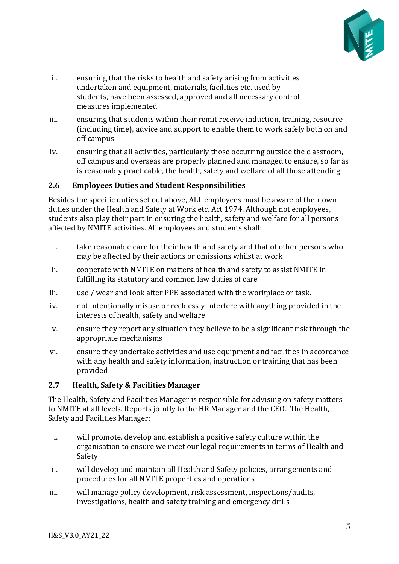

- ii. ensuring that the risks to health and safety arising from activities undertaken and equipment, materials, facilities etc. used by students, have been assessed, approved and all necessary control measures implemented
- iii. ensuring that students within their remit receive induction, training, resource (including time), advice and support to enable them to work safely both on and off campus
- iv. ensuring that all activities, particularly those occurring outside the classroom, off campus and overseas are properly planned and managed to ensure, so far as is reasonably practicable, the health, safety and welfare of all those attending

#### <span id="page-4-0"></span>**2.6 Employees Duties and Student Responsibilities**

Besides the specific duties set out above, ALL employees must be aware of their own duties under the Health and Safety at Work etc. Act 1974. Although not employees, students also play their part in ensuring the health, safety and welfare for all persons affected by NMITE activities. All employees and students shall:

- i. take reasonable care for their health and safety and that of other persons who may be affected by their actions or omissions whilst at work
- ii. cooperate with NMITE on matters of health and safety to assist NMITE in fulfilling its statutory and common law duties of care
- iii. use / wear and look after PPE associated with the workplace or task.
- iv. not intentionally misuse or recklessly interfere with anything provided in the interests of health, safety and welfare
- v. ensure they report any situation they believe to be a significant risk through the appropriate mechanisms
- vi. ensure they undertake activities and use equipment and facilities in accordance with any health and safety information, instruction or training that has been provided

### <span id="page-4-1"></span>**2.7 Health, Safety & Facilities Manager**

The Health, Safety and Facilities Manager is responsible for advising on safety matters to NMITE at all levels. Reports jointly to the HR Manager and the CEO. The Health, Safety and Facilities Manager:

- i. will promote, develop and establish a positive safety culture within the organisation to ensure we meet our legal requirements in terms of Health and Safety
- ii. will develop and maintain all Health and Safety policies, arrangements and procedures for all NMITE properties and operations
- iii. will manage policy development, risk assessment, inspections/audits, investigations, health and safety training and emergency drills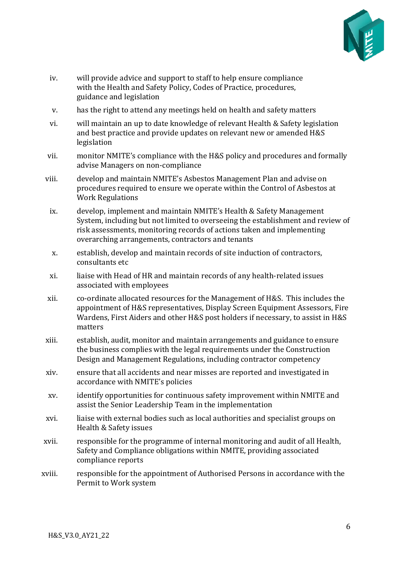

- iv. will provide advice and support to staff to help ensure compliance with the Health and Safety Policy, Codes of Practice, procedures, guidance and legislation
- v. has the right to attend any meetings held on health and safety matters
- vi. will maintain an up to date knowledge of relevant Health & Safety legislation and best practice and provide updates on relevant new or amended H&S legislation
- vii. monitor NMITE's compliance with the H&S policy and procedures and formally advise Managers on non-compliance
- viii. develop and maintain NMITE's Asbestos Management Plan and advise on procedures required to ensure we operate within the Control of Asbestos at Work Regulations
- ix. develop, implement and maintain NMITE's Health & Safety Management System, including but not limited to overseeing the establishment and review of risk assessments, monitoring records of actions taken and implementing overarching arrangements, contractors and tenants
- x. establish, develop and maintain records of site induction of contractors, consultants etc
- xi. liaise with Head of HR and maintain records of any health-related issues associated with employees
- xii. co-ordinate allocated resources for the Management of H&S. This includes the appointment of H&S representatives, Display Screen Equipment Assessors, Fire Wardens, First Aiders and other H&S post holders if necessary, to assist in H&S matters
- xiii. establish, audit, monitor and maintain arrangements and guidance to ensure the business complies with the legal requirements under the Construction Design and Management Regulations, including contractor competency
- xiv. ensure that all accidents and near misses are reported and investigated in accordance with NMITE's policies
- xv. identify opportunities for continuous safety improvement within NMITE and assist the Senior Leadership Team in the implementation
- xvi. liaise with external bodies such as local authorities and specialist groups on Health & Safety issues
- xvii. responsible for the programme of internal monitoring and audit of all Health, Safety and Compliance obligations within NMITE, providing associated compliance reports
- xviii. responsible for the appointment of Authorised Persons in accordance with the Permit to Work system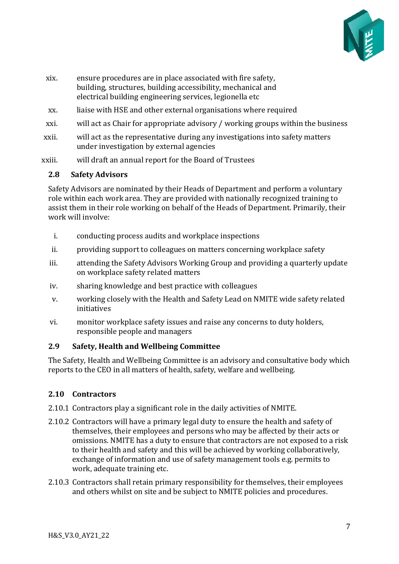

- xix. ensure procedures are in place associated with fire safety, building, structures, building accessibility, mechanical and electrical building engineering services, legionella etc
- xx. liaise with HSE and other external organisations where required
- xxi. will act as Chair for appropriate advisory / working groups within the business
- xxii. will act as the representative during any investigations into safety matters under investigation by external agencies
- xxiii. will draft an annual report for the Board of Trustees

#### <span id="page-6-0"></span>**2.8 Safety Advisors**

Safety Advisors are nominated by their Heads of Department and perform a voluntary role within each work area. They are provided with nationally recognized training to assist them in their role working on behalf of the Heads of Department. Primarily, their work will involve:

- i. conducting process audits and workplace inspections
- ii. providing support to colleagues on matters concerning workplace safety
- iii. attending the Safety Advisors Working Group and providing a quarterly update on workplace safety related matters
- iv. sharing knowledge and best practice with colleagues
- v. working closely with the Health and Safety Lead on NMITE wide safety related initiatives
- vi. monitor workplace safety issues and raise any concerns to duty holders, responsible people and managers

### <span id="page-6-1"></span>**2.9 Safety, Health and Wellbeing Committee**

The Safety, Health and Wellbeing Committee is an advisory and consultative body which reports to the CEO in all matters of health, safety, welfare and wellbeing.

### <span id="page-6-2"></span>**2.10 Contractors**

- 2.10.1 Contractors play a significant role in the daily activities of NMITE.
- 2.10.2 Contractors will have a primary legal duty to ensure the health and safety of themselves, their employees and persons who may be affected by their acts or omissions. NMITE has a duty to ensure that contractors are not exposed to a risk to their health and safety and this will be achieved by working collaboratively, exchange of information and use of safety management tools e.g. permits to work, adequate training etc.
- 2.10.3 Contractors shall retain primary responsibility for themselves, their employees and others whilst on site and be subject to NMITE policies and procedures.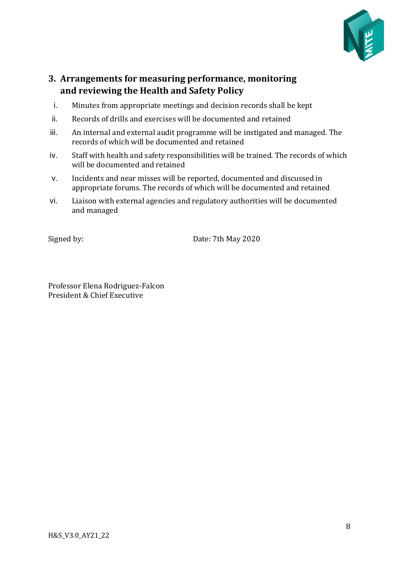

## <span id="page-7-0"></span>**3. Arrangements for measuring performance, monitoring and reviewing the Health and Safety Policy**

- i. Minutes from appropriate meetings and decision records shall be kept
- ii. Records of drills and exercises will be documented and retained
- iii. An internal and external audit programme will be instigated and managed. The records of which will be documented and retained
- iv. Staff with health and safety responsibilities will be trained. The records of which will be documented and retained
- v. Incidents and near misses will be reported, documented and discussed in appropriate forums. The records of which will be documented and retained
- vi. Liaison with external agencies and regulatory authorities will be documented and managed

Signed by: Date: 7th May 2020

Professor Elena Rodriguez-Falcon President & Chief Executive